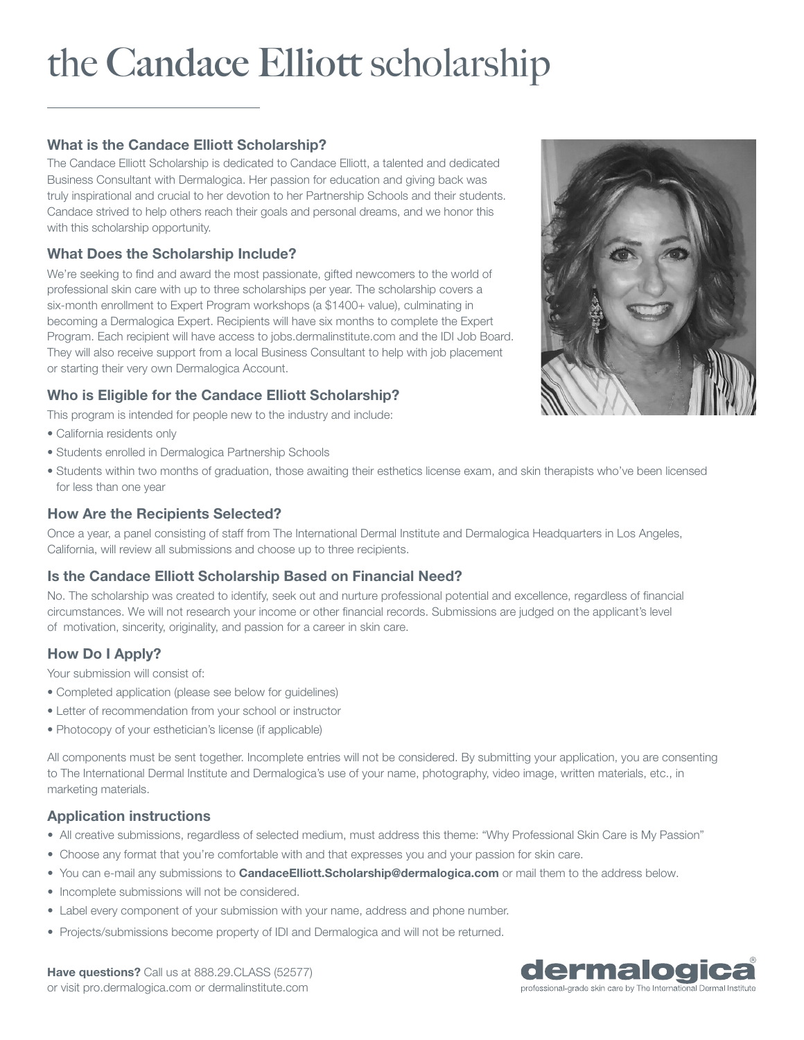# the **Candace Elliott** scholarship

# What is the Candace Elliott Scholarship?

The Candace Elliott Scholarship is dedicated to Candace Elliott, a talented and dedicated Business Consultant with Dermalogica. Her passion for education and giving back was truly inspirational and crucial to her devotion to her Partnership Schools and their students. Candace strived to help others reach their goals and personal dreams, and we honor this with this scholarship opportunity.

### What Does the Scholarship Include?

We're seeking to find and award the most passionate, gifted newcomers to the world of professional skin care with up to three scholarships per year. The scholarship covers a six-month enrollment to Expert Program workshops (a \$1400+ value), culminating in becoming a Dermalogica Expert. Recipients will have six months to complete the Expert Program. Each recipient will have access to jobs.dermalinstitute.com and the IDI Job Board. They will also receive support from a local Business Consultant to help with job placement or starting their very own Dermalogica Account.

## Who is Eligible for the Candace Elliott Scholarship?

This program is intended for people new to the industry and include:

- California residents only
- Students enrolled in Dermalogica Partnership Schools
- Students within two months of graduation, those awaiting their esthetics license exam, and skin therapists who've been licensed for less than one year

#### How Are the Recipients Selected?

Once a year, a panel consisting of staff from The International Dermal Institute and Dermalogica Headquarters in Los Angeles, California, will review all submissions and choose up to three recipients.

#### Is the Candace Elliott Scholarship Based on Financial Need?

No. The scholarship was created to identify, seek out and nurture professional potential and excellence, regardless of financial circumstances. We will not research your income or other financial records. Submissions are judged on the applicant's level of motivation, sincerity, originality, and passion for a career in skin care.

### How Do I Apply?

Your submission will consist of:

- Completed application (please see below for guidelines)
- Letter of recommendation from your school or instructor
- Photocopy of your esthetician's license (if applicable)

All components must be sent together. Incomplete entries will not be considered. By submitting your application, you are consenting to The International Dermal Institute and Dermalogica's use of your name, photography, video image, written materials, etc., in marketing materials.

#### Application instructions

- All creative submissions, regardless of selected medium, must address this theme: "Why Professional Skin Care is My Passion"
- Choose any format that you're comfortable with and that expresses you and your passion for skin care.
- You can e-mail any submissions to **CandaceElliott.Scholarship@dermalogica.com** or mail them to the address below.
- Incomplete submissions will not be considered.
- Label every component of your submission with your name, address and phone number.
- Projects/submissions become property of IDI and Dermalogica and will not be returned.